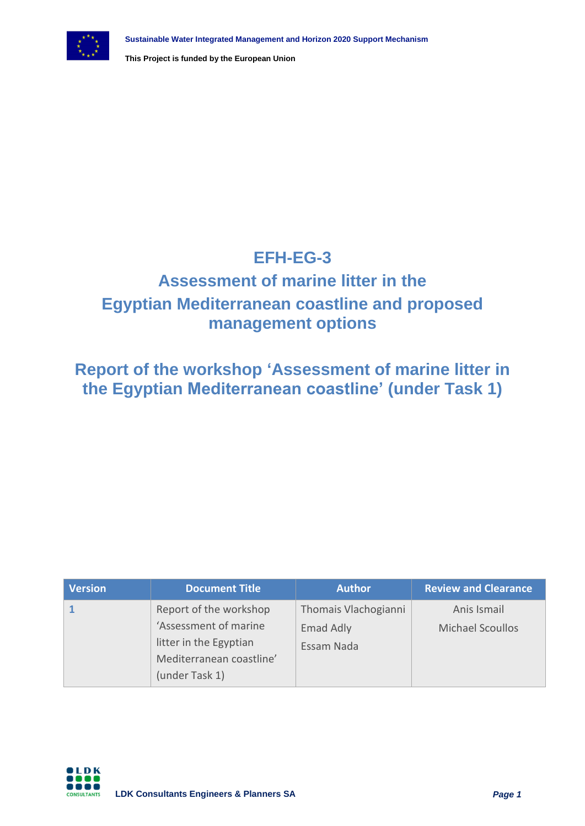

# **EFH-EG-3**

# **Assessment of marine litter in the Egyptian Mediterranean coastline and proposed management options**

**Report of the workshop 'Assessment of marine litter in the Egyptian Mediterranean coastline' (under Task 1)**

| <b>Version</b> | <b>Document Title</b>                                                                         | <b>Author</b>                  | <b>Review and Clearance</b> |
|----------------|-----------------------------------------------------------------------------------------------|--------------------------------|-----------------------------|
|                | Report of the workshop                                                                        | Thomais Vlachogianni           | Anis Ismail                 |
|                | 'Assessment of marine<br>litter in the Egyptian<br>Mediterranean coastline'<br>(under Task 1) | <b>Emad Adly</b><br>Essam Nada | <b>Michael Scoullos</b>     |

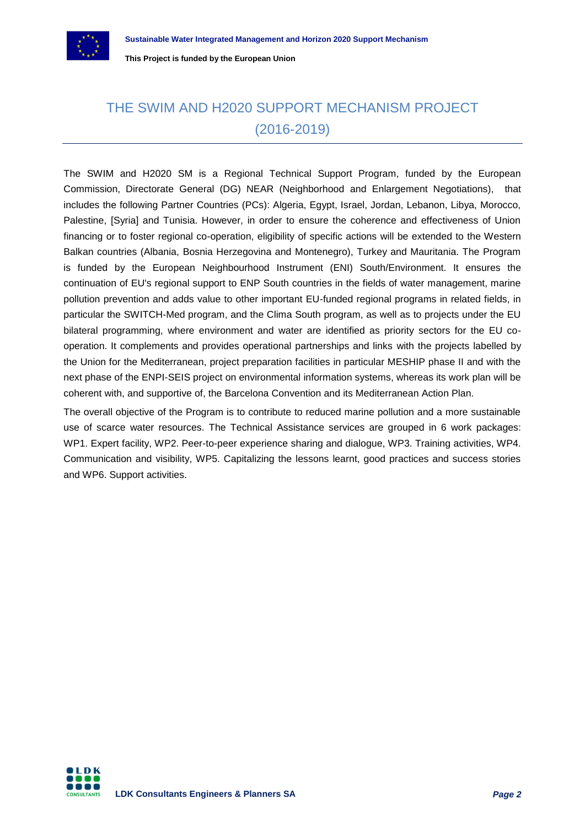

## THE SWIM AND H2020 SUPPORT MECHANISM PROJECT (2016-2019)

The SWIM and H2020 SM is a Regional Technical Support Program, funded by the European Commission, Directorate General (DG) NEAR (Neighborhood and Enlargement Negotiations), that includes the following Partner Countries (PCs): Algeria, Egypt, Israel, Jordan, Lebanon, Libya, Morocco, Palestine, [Syria] and Tunisia. However, in order to ensure the coherence and effectiveness of Union financing or to foster regional co-operation, eligibility of specific actions will be extended to the Western Balkan countries (Albania, Bosnia Herzegovina and Montenegro), Turkey and Mauritania. The Program is funded by the European Neighbourhood Instrument (ENI) South/Environment. It ensures the continuation of EU's regional support to ENP South countries in the fields of water management, marine pollution prevention and adds value to other important EU-funded regional programs in related fields, in particular the SWITCH-Med program, and the Clima South program, as well as to projects under the EU bilateral programming, where environment and water are identified as priority sectors for the EU cooperation. It complements and provides operational partnerships and links with the projects labelled by the Union for the Mediterranean, project preparation facilities in particular MESHIP phase II and with the next phase of the ENPI-SEIS project on environmental information systems, whereas its work plan will be coherent with, and supportive of, the Barcelona Convention and its Mediterranean Action Plan.

The overall objective of the Program is to contribute to reduced marine pollution and a more sustainable use of scarce water resources. The Technical Assistance services are grouped in 6 work packages: WP1. Expert facility, WP2. Peer-to-peer experience sharing and dialogue, WP3. Training activities, WP4. Communication and visibility, WP5. Capitalizing the lessons learnt, good practices and success stories and WP6. Support activities.

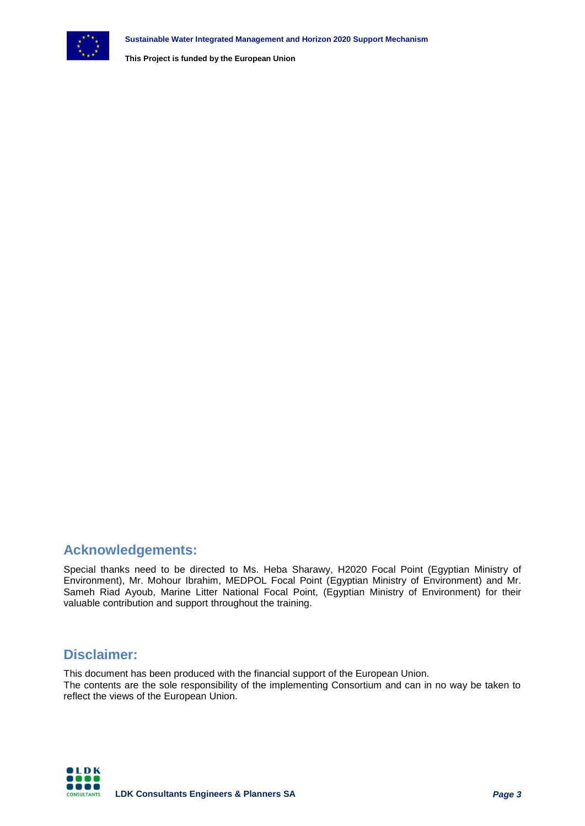

### **Acknowledgements:**

Special thanks need to be directed to Ms. Heba Sharawy, H2020 Focal Point (Egyptian Ministry of Environment), Mr. Mohour Ibrahim, MEDPOL Focal Point (Egyptian Ministry of Environment) and Mr. Sameh Riad Ayoub, Marine Litter National Focal Point, (Egyptian Ministry of Environment) for their valuable contribution and support throughout the training.

### **Disclaimer:**

This document has been produced with the financial support of the European Union. The contents are the sole responsibility of the implementing Consortium and can in no way be taken to reflect the views of the European Union.

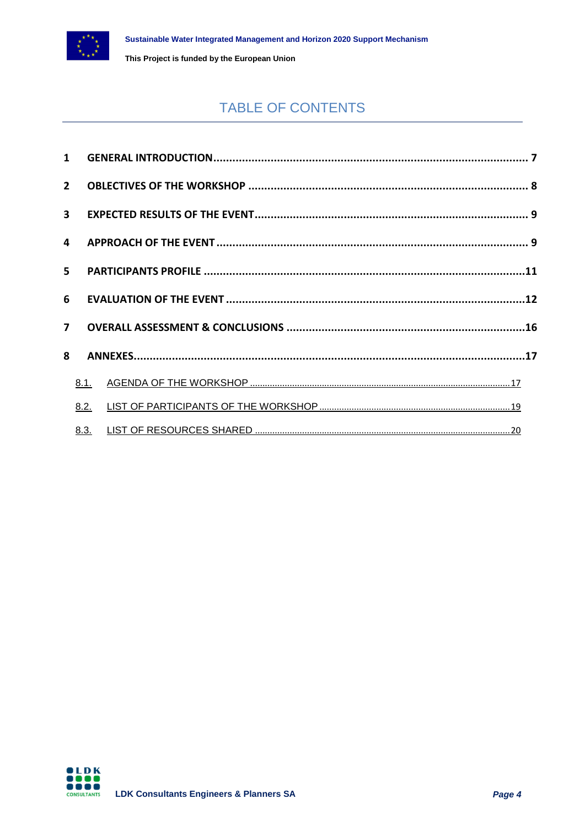

## TABLE OF CONTENTS

|      | $2^{\circ}$             |
|------|-------------------------|
|      | $\overline{\mathbf{3}}$ |
|      |                         |
|      | 5                       |
|      | 6                       |
|      | $\overline{7}$          |
|      | 8                       |
| 8.1. |                         |
| 8.2. |                         |
| 8.3. |                         |

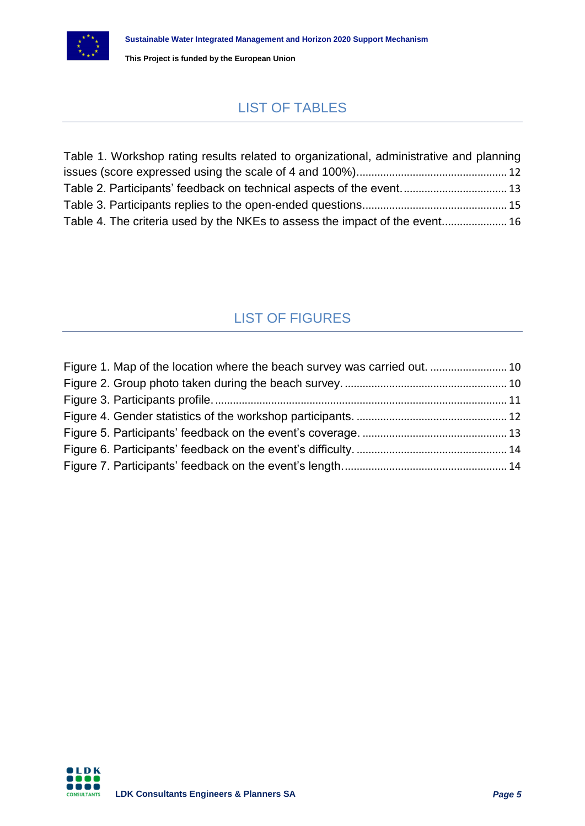

## LIST OF TABLES

| Table 1. Workshop rating results related to organizational, administrative and planning |  |
|-----------------------------------------------------------------------------------------|--|
|                                                                                         |  |
|                                                                                         |  |
|                                                                                         |  |
|                                                                                         |  |

### LIST OF FIGURES

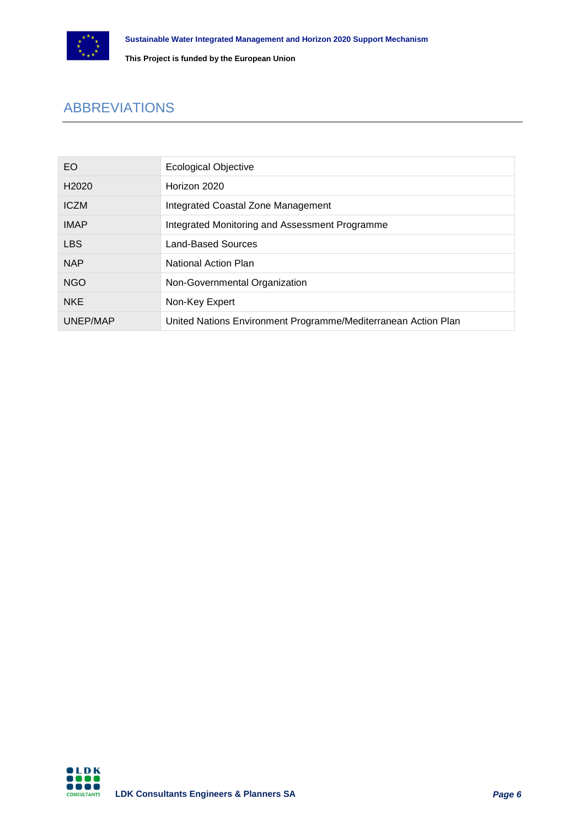

### ABBREVIATIONS

| EO.               | <b>Ecological Objective</b>                                    |  |
|-------------------|----------------------------------------------------------------|--|
| H <sub>2020</sub> | Horizon 2020                                                   |  |
| <b>ICZM</b>       | <b>Integrated Coastal Zone Management</b>                      |  |
| <b>IMAP</b>       | Integrated Monitoring and Assessment Programme                 |  |
| <b>LBS</b>        | Land-Based Sources                                             |  |
| <b>NAP</b>        | National Action Plan                                           |  |
| <b>NGO</b>        | Non-Governmental Organization                                  |  |
| <b>NKE</b>        | Non-Key Expert                                                 |  |
| UNEP/MAP          | United Nations Environment Programme/Mediterranean Action Plan |  |

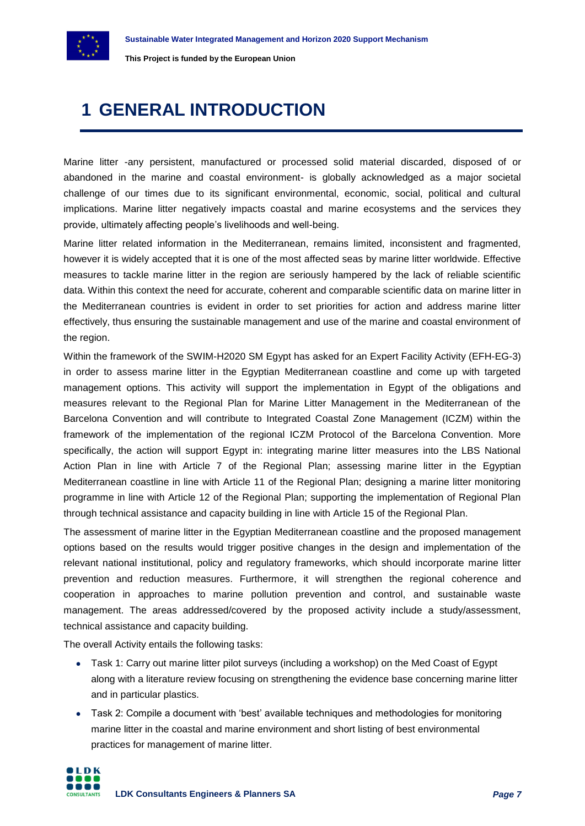

**Sustainable Water Integrated Management and Horizon 2020 Support Mechanism This Project is funded by the European Union**

# <span id="page-6-0"></span>**1 GENERAL INTRODUCTION**

Marine litter -any persistent, manufactured or processed solid material discarded, disposed of or abandoned in the marine and coastal environment- is globally acknowledged as a major societal challenge of our times due to its significant environmental, economic, social, political and cultural implications. Marine litter negatively impacts coastal and marine ecosystems and the services they provide, ultimately affecting people's livelihoods and well-being.

Marine litter related information in the Mediterranean, remains limited, inconsistent and fragmented, however it is widely accepted that it is one of the most affected seas by marine litter worldwide. Effective measures to tackle marine litter in the region are seriously hampered by the lack of reliable scientific data. Within this context the need for accurate, coherent and comparable scientific data on marine litter in the Mediterranean countries is evident in order to set priorities for action and address marine litter effectively, thus ensuring the sustainable management and use of the marine and coastal environment of the region.

Within the framework of the SWIM-H2020 SM Egypt has asked for an Expert Facility Activity (EFH-EG-3) in order to assess marine litter in the Egyptian Mediterranean coastline and come up with targeted management options. This activity will support the implementation in Egypt of the obligations and measures relevant to the Regional Plan for Marine Litter Management in the Mediterranean of the Barcelona Convention and will contribute to Integrated Coastal Zone Management (ICZM) within the framework of the implementation of the regional ICZM Protocol of the Barcelona Convention. More specifically, the action will support Egypt in: integrating marine litter measures into the LBS National Action Plan in line with Article 7 of the Regional Plan; assessing marine litter in the Egyptian Mediterranean coastline in line with Article 11 of the Regional Plan; designing a marine litter monitoring programme in line with Article 12 of the Regional Plan; supporting the implementation of Regional Plan through technical assistance and capacity building in line with Article 15 of the Regional Plan.

The assessment of marine litter in the Egyptian Mediterranean coastline and the proposed management options based on the results would trigger positive changes in the design and implementation of the relevant national institutional, policy and regulatory frameworks, which should incorporate marine litter prevention and reduction measures. Furthermore, it will strengthen the regional coherence and cooperation in approaches to marine pollution prevention and control, and sustainable waste management. The areas addressed/covered by the proposed activity include a study/assessment, technical assistance and capacity building.

The overall Activity entails the following tasks:

- Task 1: Carry out marine litter pilot surveys (including a workshop) on the Med Coast of Egypt along with a literature review focusing on strengthening the evidence base concerning marine litter and in particular plastics.
- Task 2: Compile a document with 'best' available techniques and methodologies for monitoring marine litter in the coastal and marine environment and short listing of best environmental practices for management of marine litter.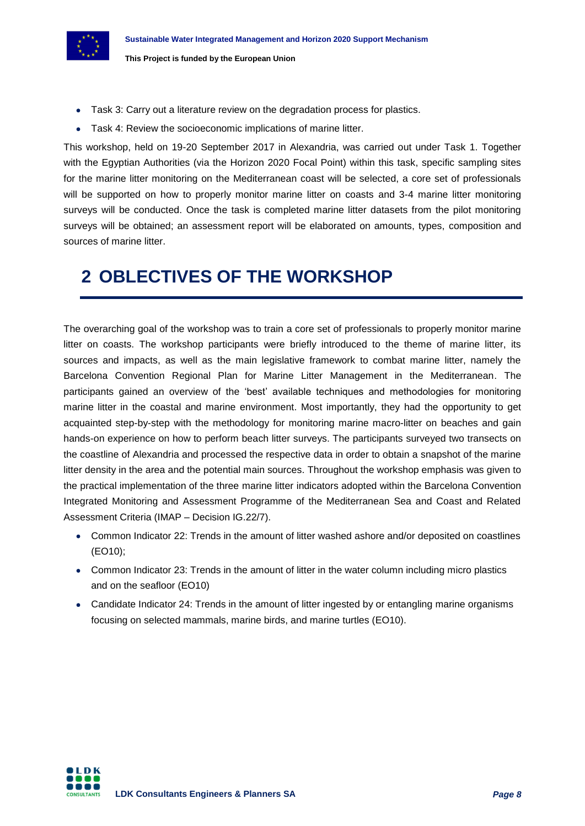

- Task 3: Carry out a literature review on the degradation process for plastics.
- Task 4: Review the socioeconomic implications of marine litter.

This workshop, held on 19-20 September 2017 in Alexandria, was carried out under Task 1. Together with the Egyptian Authorities (via the Horizon 2020 Focal Point) within this task, specific sampling sites for the marine litter monitoring on the Mediterranean coast will be selected, a core set of professionals will be supported on how to properly monitor marine litter on coasts and 3-4 marine litter monitoring surveys will be conducted. Once the task is completed marine litter datasets from the pilot monitoring surveys will be obtained; an assessment report will be elaborated on amounts, types, composition and sources of marine litter.

## <span id="page-7-0"></span>**2 OBLECTIVES OF THE WORKSHOP**

The overarching goal of the workshop was to train a core set of professionals to properly monitor marine litter on coasts. The workshop participants were briefly introduced to the theme of marine litter, its sources and impacts, as well as the main legislative framework to combat marine litter, namely the Barcelona Convention Regional Plan for Marine Litter Management in the Mediterranean. The participants gained an overview of the 'best' available techniques and methodologies for monitoring marine litter in the coastal and marine environment. Most importantly, they had the opportunity to get acquainted step-by-step with the methodology for monitoring marine macro-litter on beaches and gain hands-on experience on how to perform beach litter surveys. The participants surveyed two transects on the coastline of Alexandria and processed the respective data in order to obtain a snapshot of the marine litter density in the area and the potential main sources. Throughout the workshop emphasis was given to the practical implementation of the three marine litter indicators adopted within the Barcelona Convention Integrated Monitoring and Assessment Programme of the Mediterranean Sea and Coast and Related Assessment Criteria (IMAP – Decision IG.22/7).

- Common Indicator 22: Trends in the amount of litter washed ashore and/or deposited on coastlines (EO10);
- Common Indicator 23: Trends in the amount of litter in the water column including micro plastics and on the seafloor (EO10)
- Candidate Indicator 24: Trends in the amount of litter ingested by or entangling marine organisms focusing on selected mammals, marine birds, and marine turtles (EO10).

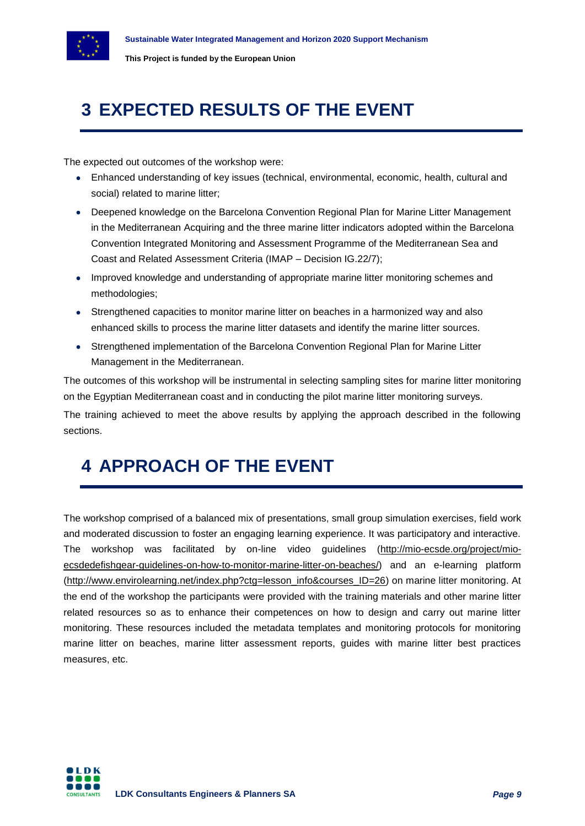

# <span id="page-8-0"></span>**3 EXPECTED RESULTS OF THE EVENT**

The expected out outcomes of the workshop were:

- Enhanced understanding of key issues (technical, environmental, economic, health, cultural and social) related to marine litter;
- Deepened knowledge on the Barcelona Convention Regional Plan for Marine Litter Management in the Mediterranean Acquiring and the three marine litter indicators adopted within the Barcelona Convention Integrated Monitoring and Assessment Programme of the Mediterranean Sea and Coast and Related Assessment Criteria (IMAP – Decision IG.22/7);
- Improved knowledge and understanding of appropriate marine litter monitoring schemes and methodologies;
- Strengthened capacities to monitor marine litter on beaches in a harmonized way and also enhanced skills to process the marine litter datasets and identify the marine litter sources.
- Strengthened implementation of the Barcelona Convention Regional Plan for Marine Litter Management in the Mediterranean.

The outcomes of this workshop will be instrumental in selecting sampling sites for marine litter monitoring on the Egyptian Mediterranean coast and in conducting the pilot marine litter monitoring surveys.

The training achieved to meet the above results by applying the approach described in the following sections.

## <span id="page-8-1"></span>**4 APPROACH OF THE EVENT**

The workshop comprised of a balanced mix of presentations, small group simulation exercises, field work and moderated discussion to foster an engaging learning experience. It was participatory and interactive. The workshop was facilitated by on-line video guidelines [\(http://mio-ecsde.org/project/mio](http://mio-ecsde.org/project/mio-ecsdedefishgear-guidelines-on-how-to-monitor-marine-litter-on-beaches/)[ecsdedefishgear-guidelines-on-how-to-monitor-marine-litter-on-beaches/\)](http://mio-ecsde.org/project/mio-ecsdedefishgear-guidelines-on-how-to-monitor-marine-litter-on-beaches/) and an e-learning platform [\(http://www.envirolearning.net/index.php?ctg=lesson\\_info&courses\\_ID=26\)](http://www.envirolearning.net/index.php?ctg=lesson_info&courses_ID=26) on marine litter monitoring. At the end of the workshop the participants were provided with the training materials and other marine litter related resources so as to enhance their competences on how to design and carry out marine litter monitoring. These resources included the metadata templates and monitoring protocols for monitoring marine litter on beaches, marine litter assessment reports, guides with marine litter best practices measures, etc.

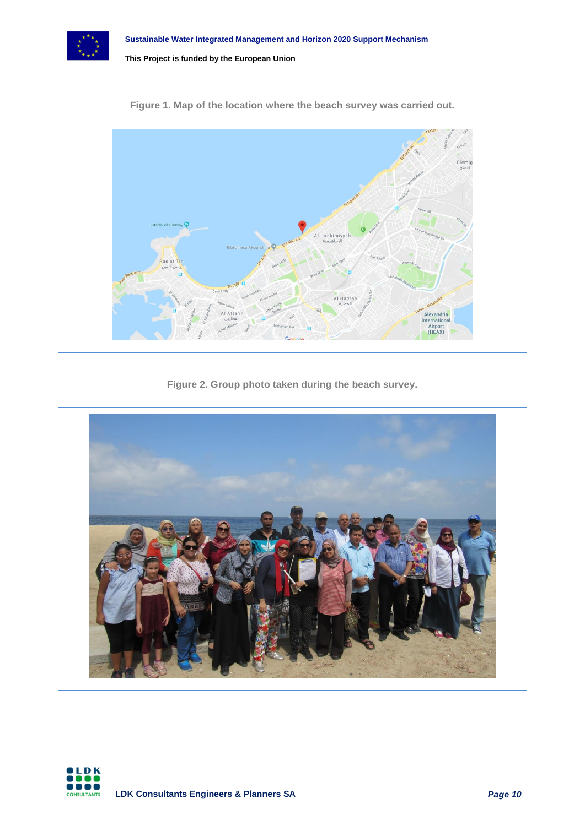

<span id="page-9-0"></span>

**Figure 1. Map of the location where the beach survey was carried out.**

**Figure 2. Group photo taken during the beach survey.**

<span id="page-9-1"></span>

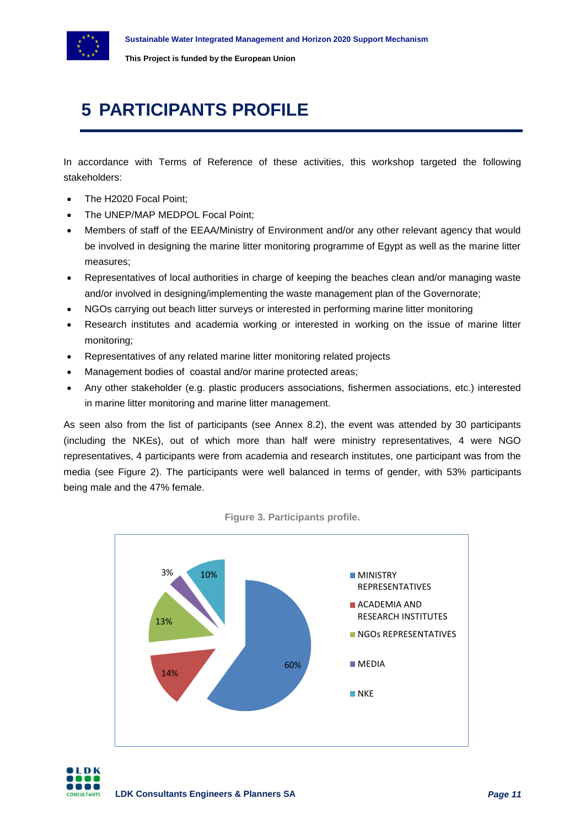

# <span id="page-10-0"></span>**5 PARTICIPANTS PROFILE**

In accordance with Terms of Reference of these activities, this workshop targeted the following stakeholders:

- The H2020 Focal Point;
- The UNEP/MAP MEDPOL Focal Point;
- Members of staff of the EEAA/Ministry of Environment and/or any other relevant agency that would be involved in designing the marine litter monitoring programme of Egypt as well as the marine litter measures;
- Representatives of local authorities in charge of keeping the beaches clean and/or managing waste and/or involved in designing/implementing the waste management plan of the Governorate;
- NGOs carrying out beach litter surveys or interested in performing marine litter monitoring
- Research institutes and academia working or interested in working on the issue of marine litter monitoring;
- Representatives of any related marine litter monitoring related projects
- Management bodies of coastal and/or marine protected areas;
- Any other stakeholder (e.g. plastic producers associations, fishermen associations, etc.) interested in marine litter monitoring and marine litter management.

As seen also from the list of participants (see Annex 8.2), the event was attended by 30 participants (including the NKEs), out of which more than half were ministry representatives, 4 were NGO representatives, 4 participants were from academia and research institutes, one participant was from the media (see Figure 2). The participants were well balanced in terms of gender, with 53% participants being male and the 47% female.

<span id="page-10-1"></span>

**Figure 3. Participants profile.**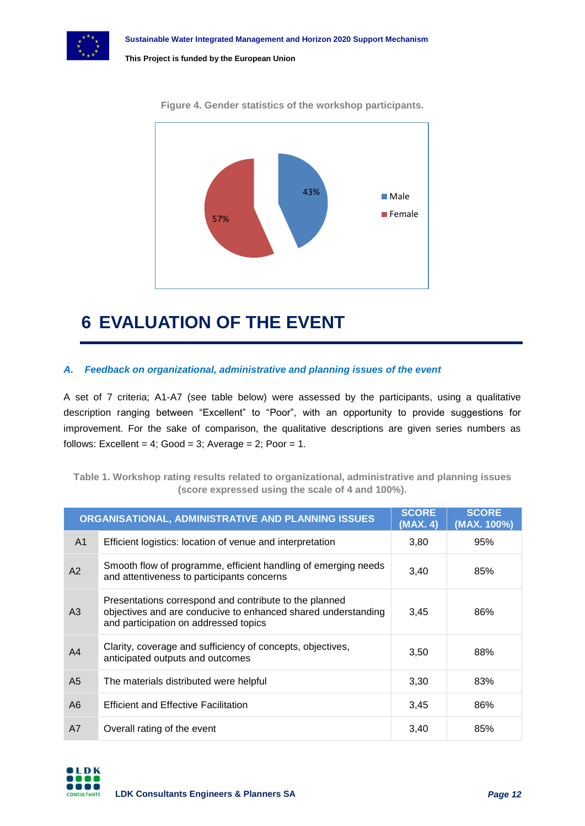<span id="page-11-2"></span>

**Figure 4. Gender statistics of the workshop participants.**

# <span id="page-11-0"></span>**6 EVALUATION OF THE EVENT**

### *A. Feedback on organizational, administrative and planning issues of the event*

A set of 7 criteria; A1-A7 (see table below) were assessed by the participants, using a qualitative description ranging between "Excellent" to "Poor", with an opportunity to provide suggestions for improvement. For the sake of comparison, the qualitative descriptions are given series numbers as follows: Excellent = 4; Good = 3; Average = 2; Poor = 1.

<span id="page-11-1"></span>

|  |  | Table 1. Workshop rating results related to organizational, administrative and planning issues |  |  |
|--|--|------------------------------------------------------------------------------------------------|--|--|
|  |  | (score expressed using the scale of 4 and 100%).                                               |  |  |

|                | ORGANISATIONAL, ADMINISTRATIVE AND PLANNING ISSUES                                                                                                               | <b>SCORE</b><br>(MAX. 4) | <b>SCORE</b><br>(MAX. 100%) |
|----------------|------------------------------------------------------------------------------------------------------------------------------------------------------------------|--------------------------|-----------------------------|
| A <sub>1</sub> | Efficient logistics: location of venue and interpretation                                                                                                        | 3,80                     | 95%                         |
| A2             | Smooth flow of programme, efficient handling of emerging needs<br>and attentiveness to participants concerns                                                     | 3,40                     | 85%                         |
| A3             | Presentations correspond and contribute to the planned<br>objectives and are conducive to enhanced shared understanding<br>and participation on addressed topics | 3,45                     | 86%                         |
| A <sub>4</sub> | Clarity, coverage and sufficiency of concepts, objectives,<br>anticipated outputs and outcomes                                                                   | 3,50                     | 88%                         |
| A5             | The materials distributed were helpful                                                                                                                           | 3,30                     | 83%                         |
| A <sub>6</sub> | <b>Efficient and Effective Facilitation</b>                                                                                                                      | 3,45                     | 86%                         |
| A7             | Overall rating of the event                                                                                                                                      | 3,40                     | 85%                         |

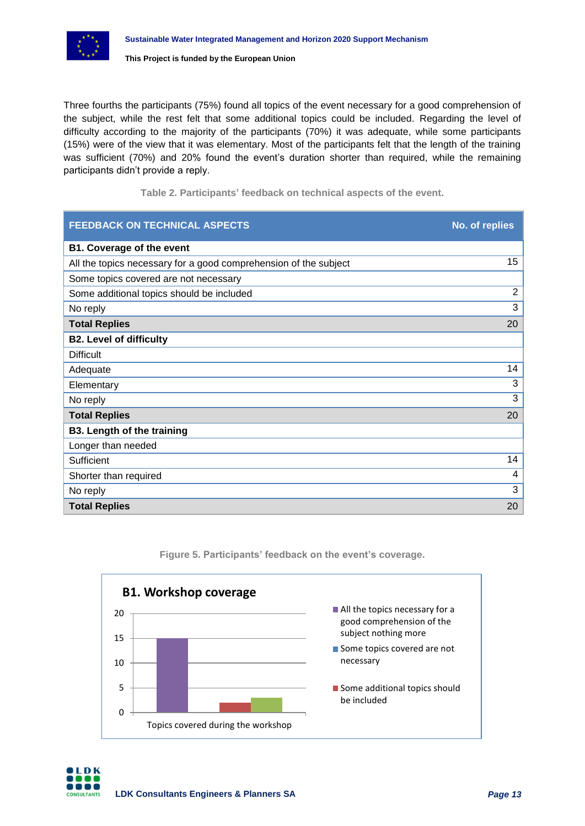

Three fourths the participants (75%) found all topics of the event necessary for a good comprehension of the subject, while the rest felt that some additional topics could be included. Regarding the level of difficulty according to the majority of the participants (70%) it was adequate, while some participants (15%) were of the view that it was elementary. Most of the participants felt that the length of the training was sufficient (70%) and 20% found the event's duration shorter than required, while the remaining participants didn't provide a reply.

**Table 2. Participants' feedback on technical aspects of the event.**

<span id="page-12-0"></span>

| <b>FEEDBACK ON TECHNICAL ASPECTS</b>                             | No. of replies |
|------------------------------------------------------------------|----------------|
| <b>B1. Coverage of the event</b>                                 |                |
| All the topics necessary for a good comprehension of the subject | 15             |
| Some topics covered are not necessary                            |                |
| Some additional topics should be included                        | $\overline{2}$ |
| No reply                                                         | 3              |
| <b>Total Replies</b>                                             | 20             |
| <b>B2. Level of difficulty</b>                                   |                |
| <b>Difficult</b>                                                 |                |
| Adequate                                                         | 14             |
| Elementary                                                       | 3              |
| No reply                                                         | 3              |
| <b>Total Replies</b>                                             | 20             |
| <b>B3. Length of the training</b>                                |                |
| Longer than needed                                               |                |
| Sufficient                                                       | 14             |
| Shorter than required                                            | 4              |
| No reply                                                         | 3              |
| <b>Total Replies</b>                                             | 20             |

**Figure 5. Participants' feedback on the event's coverage.**

<span id="page-12-1"></span>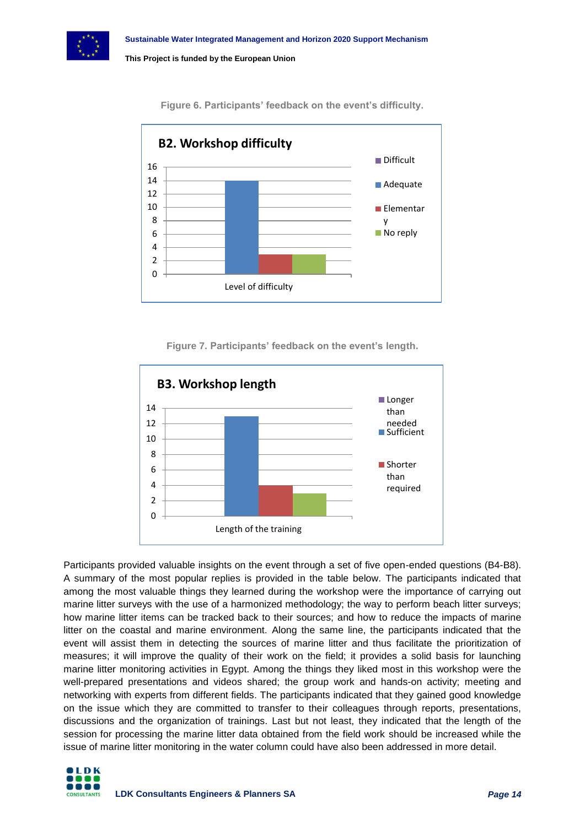**Figure 6. Participants' feedback on the event's difficulty.**

<span id="page-13-0"></span>

**Figure 7. Participants' feedback on the event's length.**

<span id="page-13-1"></span>

Participants provided valuable insights on the event through a set of five open-ended questions (B4-B8). A summary of the most popular replies is provided in the table below. The participants indicated that among the most valuable things they learned during the workshop were the importance of carrying out marine litter surveys with the use of a harmonized methodology; the way to perform beach litter surveys; how marine litter items can be tracked back to their sources; and how to reduce the impacts of marine litter on the coastal and marine environment. Along the same line, the participants indicated that the event will assist them in detecting the sources of marine litter and thus facilitate the prioritization of measures; it will improve the quality of their work on the field; it provides a solid basis for launching marine litter monitoring activities in Egypt. Among the things they liked most in this workshop were the well-prepared presentations and videos shared; the group work and hands-on activity; meeting and networking with experts from different fields. The participants indicated that they gained good knowledge on the issue which they are committed to transfer to their colleagues through reports, presentations, discussions and the organization of trainings. Last but not least, they indicated that the length of the session for processing the marine litter data obtained from the field work should be increased while the issue of marine litter monitoring in the water column could have also been addressed in more detail.

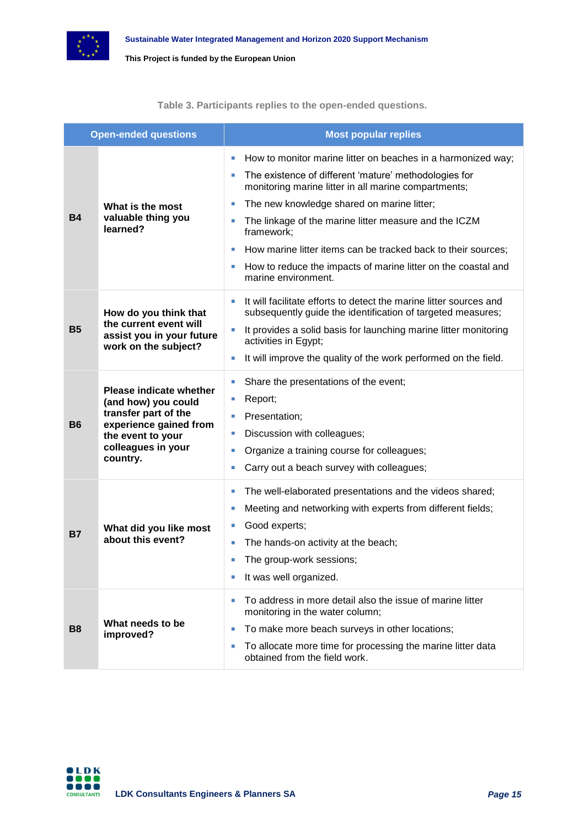

**Table 3. Participants replies to the open-ended questions.**

<span id="page-14-0"></span>

| <b>Open-ended questions</b> |                                                                                                                                                                | <b>Most popular replies</b>                                                                                                                                                                                                                                                                                                                                                                                                                                                                 |  |  |
|-----------------------------|----------------------------------------------------------------------------------------------------------------------------------------------------------------|---------------------------------------------------------------------------------------------------------------------------------------------------------------------------------------------------------------------------------------------------------------------------------------------------------------------------------------------------------------------------------------------------------------------------------------------------------------------------------------------|--|--|
| <b>B4</b>                   | What is the most<br>valuable thing you<br>learned?                                                                                                             | How to monitor marine litter on beaches in a harmonized way;<br>L.<br>The existence of different 'mature' methodologies for<br>П<br>monitoring marine litter in all marine compartments;<br>The new knowledge shared on marine litter;<br>П<br>The linkage of the marine litter measure and the ICZM<br>П<br>framework;<br>How marine litter items can be tracked back to their sources;<br>U.<br>How to reduce the impacts of marine litter on the coastal and<br>E<br>marine environment. |  |  |
| <b>B5</b>                   | How do you think that<br>the current event will<br>assist you in your future<br>work on the subject?                                                           | It will facilitate efforts to detect the marine litter sources and<br>П<br>subsequently guide the identification of targeted measures;<br>It provides a solid basis for launching marine litter monitoring<br>I.<br>activities in Egypt;<br>It will improve the quality of the work performed on the field.<br>П                                                                                                                                                                            |  |  |
| <b>B6</b>                   | <b>Please indicate whether</b><br>(and how) you could<br>transfer part of the<br>experience gained from<br>the event to your<br>colleagues in your<br>country. | Share the presentations of the event;<br>П<br>Report;<br>Ш<br>Presentation;<br>E<br>Discussion with colleagues;<br>П<br>Organize a training course for colleagues;<br>L<br>Carry out a beach survey with colleagues;<br>П                                                                                                                                                                                                                                                                   |  |  |
| <b>B7</b>                   | What did you like most<br>about this event?                                                                                                                    | The well-elaborated presentations and the videos shared;<br>П<br>Meeting and networking with experts from different fields;<br>П<br>Good experts;<br>П<br>The hands-on activity at the beach;<br>L<br>The group-work sessions;<br>П<br>It was well organized.<br>П                                                                                                                                                                                                                          |  |  |
| <b>B8</b>                   | What needs to be<br>improved?                                                                                                                                  | To address in more detail also the issue of marine litter<br>I.<br>monitoring in the water column;<br>To make more beach surveys in other locations;<br>П<br>To allocate more time for processing the marine litter data<br>Ш<br>obtained from the field work.                                                                                                                                                                                                                              |  |  |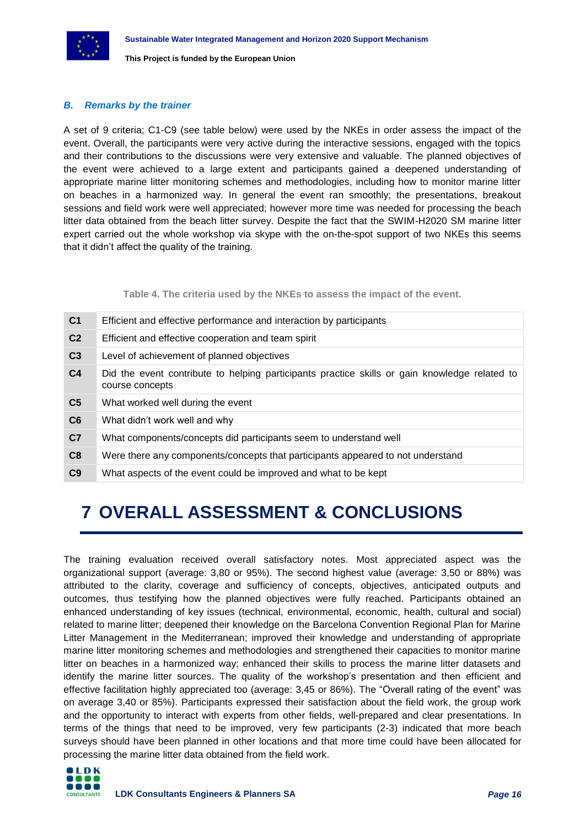

#### *B. Remarks by the trainer*

A set of 9 criteria; C1-C9 (see table below) were used by the NKEs in order assess the impact of the event. Overall, the participants were very active during the interactive sessions, engaged with the topics and their contributions to the discussions were very extensive and valuable. The planned objectives of the event were achieved to a large extent and participants gained a deepened understanding of appropriate marine litter monitoring schemes and methodologies, including how to monitor marine litter on beaches in a harmonized way. In general the event ran smoothly; the presentations, breakout sessions and field work were well appreciated; however more time was needed for processing the beach litter data obtained from the beach litter survey. Despite the fact that the SWIM-H2020 SM marine litter expert carried out the whole workshop via skype with the on-the-spot support of two NKEs this seems that it didn't affect the quality of the training.

**Table 4. The criteria used by the NKEs to assess the impact of the event.**

<span id="page-15-1"></span>

| C <sub>1</sub> | Efficient and effective performance and interaction by participants                                              |
|----------------|------------------------------------------------------------------------------------------------------------------|
| C <sub>2</sub> | Efficient and effective cooperation and team spirit                                                              |
| C <sub>3</sub> | Level of achievement of planned objectives                                                                       |
| C <sub>4</sub> | Did the event contribute to helping participants practice skills or gain knowledge related to<br>course concepts |
| C <sub>5</sub> | What worked well during the event                                                                                |
| C6             | What didn't work well and why                                                                                    |
| C7             | What components/concepts did participants seem to understand well                                                |
| C8             | Were there any components/concepts that participants appeared to not understand                                  |
| C9             | What aspects of the event could be improved and what to be kept                                                  |

# <span id="page-15-0"></span>**7 OVERALL ASSESSMENT & CONCLUSIONS**

The training evaluation received overall satisfactory notes. Most appreciated aspect was the organizational support (average: 3,80 or 95%). The second highest value (average: 3,50 or 88%) was attributed to the clarity, coverage and sufficiency of concepts, objectives, anticipated outputs and outcomes, thus testifying how the planned objectives were fully reached. Participants obtained an enhanced understanding of key issues (technical, environmental, economic, health, cultural and social) related to marine litter; deepened their knowledge on the Barcelona Convention Regional Plan for Marine Litter Management in the Mediterranean; improved their knowledge and understanding of appropriate marine litter monitoring schemes and methodologies and strengthened their capacities to monitor marine litter on beaches in a harmonized way; enhanced their skills to process the marine litter datasets and identify the marine litter sources. The quality of the workshop's presentation and then efficient and effective facilitation highly appreciated too (average: 3,45 or 86%). The "Overall rating of the event" was on average 3,40 or 85%). Participants expressed their satisfaction about the field work, the group work and the opportunity to interact with experts from other fields, well-prepared and clear presentations. In terms of the things that need to be improved, very few participants (2-3) indicated that more beach surveys should have been planned in other locations and that more time could have been allocated for processing the marine litter data obtained from the field work.

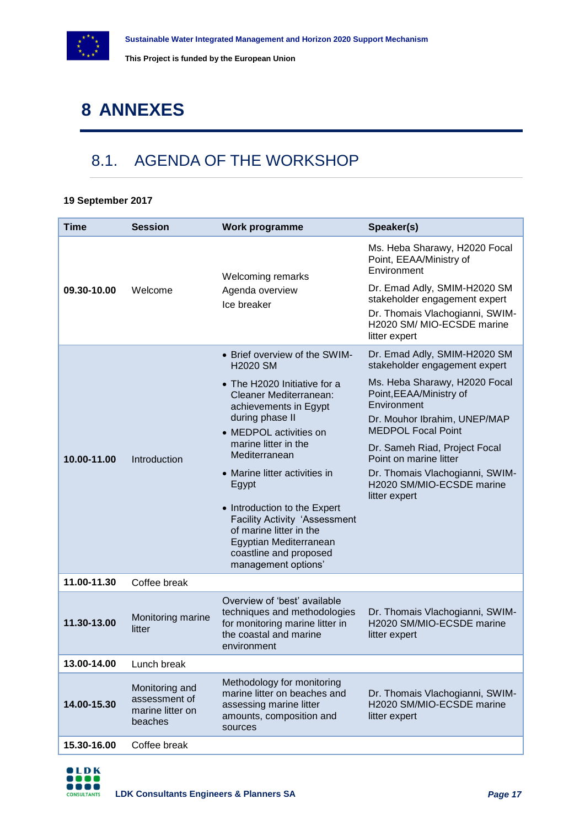

# <span id="page-16-0"></span>**8 ANNEXES**

### <span id="page-16-1"></span>8.1. AGENDA OF THE WORKSHOP

#### **19 September 2017**

| <b>Time</b> | <b>Session</b>                                                 | <b>Work programme</b>                                                                                                                                                                                                                                                                                                                                                                                                                      | Speaker(s)                                                                                                                                                                                                                                                                                                                                        |
|-------------|----------------------------------------------------------------|--------------------------------------------------------------------------------------------------------------------------------------------------------------------------------------------------------------------------------------------------------------------------------------------------------------------------------------------------------------------------------------------------------------------------------------------|---------------------------------------------------------------------------------------------------------------------------------------------------------------------------------------------------------------------------------------------------------------------------------------------------------------------------------------------------|
| 09.30-10.00 | Welcome                                                        | Welcoming remarks<br>Agenda overview<br>Ice breaker                                                                                                                                                                                                                                                                                                                                                                                        | Ms. Heba Sharawy, H2020 Focal<br>Point, EEAA/Ministry of<br>Environment<br>Dr. Emad Adly, SMIM-H2020 SM<br>stakeholder engagement expert<br>Dr. Thomais Vlachogianni, SWIM-<br>H2020 SM/ MIO-ECSDE marine<br>litter expert                                                                                                                        |
| 10.00-11.00 | Introduction                                                   | • Brief overview of the SWIM-<br><b>H2020 SM</b><br>• The H2020 Initiative for a<br>Cleaner Mediterranean:<br>achievements in Egypt<br>during phase II<br>• MEDPOL activities on<br>marine litter in the<br>Mediterranean<br>• Marine litter activities in<br>Egypt<br>• Introduction to the Expert<br>Facility Activity 'Assessment<br>of marine litter in the<br>Egyptian Mediterranean<br>coastline and proposed<br>management options' | Dr. Emad Adly, SMIM-H2020 SM<br>stakeholder engagement expert<br>Ms. Heba Sharawy, H2020 Focal<br>Point, EEAA/Ministry of<br>Environment<br>Dr. Mouhor Ibrahim, UNEP/MAP<br><b>MEDPOL Focal Point</b><br>Dr. Sameh Riad, Project Focal<br>Point on marine litter<br>Dr. Thomais Vlachogianni, SWIM-<br>H2020 SM/MIO-ECSDE marine<br>litter expert |
| 11.00-11.30 | Coffee break                                                   |                                                                                                                                                                                                                                                                                                                                                                                                                                            |                                                                                                                                                                                                                                                                                                                                                   |
| 11.30-13.00 | Monitoring marine<br>litter                                    | Overview of 'best' available<br>techniques and methodologies<br>for monitoring marine litter in<br>the coastal and marine<br>environment                                                                                                                                                                                                                                                                                                   | Dr. Thomais Vlachogianni, SWIM-<br>H2020 SM/MIO-ECSDE marine<br>litter expert                                                                                                                                                                                                                                                                     |
| 13.00-14.00 | Lunch break                                                    |                                                                                                                                                                                                                                                                                                                                                                                                                                            |                                                                                                                                                                                                                                                                                                                                                   |
| 14.00-15.30 | Monitoring and<br>assessment of<br>marine litter on<br>beaches | Methodology for monitoring<br>marine litter on beaches and<br>assessing marine litter<br>amounts, composition and<br>sources                                                                                                                                                                                                                                                                                                               | Dr. Thomais Vlachogianni, SWIM-<br>H2020 SM/MIO-ECSDE marine<br>litter expert                                                                                                                                                                                                                                                                     |
| 15.30-16.00 | Coffee break                                                   |                                                                                                                                                                                                                                                                                                                                                                                                                                            |                                                                                                                                                                                                                                                                                                                                                   |

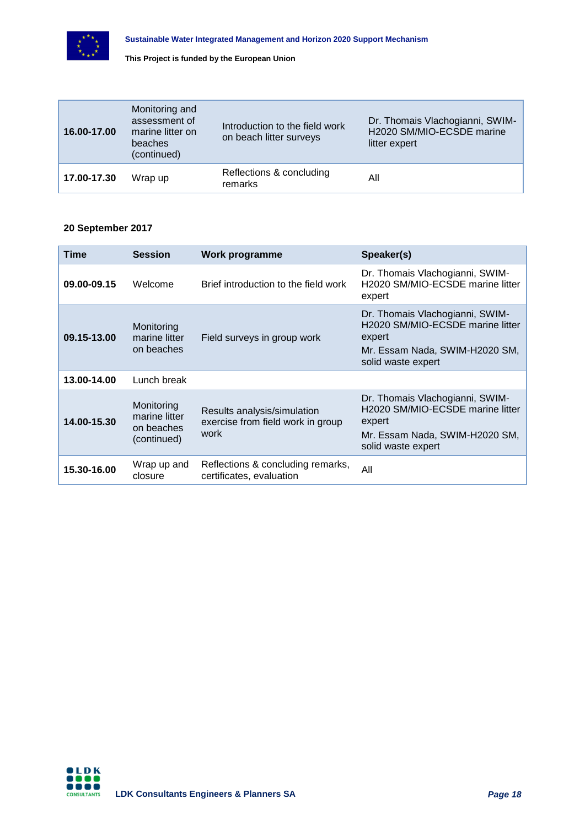

| 16.00-17.00 | Monitoring and<br>assessment of<br>marine litter on<br>beaches<br>(continued) | Introduction to the field work<br>on beach litter surveys | Dr. Thomais Vlachogianni, SWIM-<br>H2020 SM/MIO-ECSDE marine<br>litter expert |
|-------------|-------------------------------------------------------------------------------|-----------------------------------------------------------|-------------------------------------------------------------------------------|
| 17.00-17.30 | Wrap up                                                                       | Reflections & concluding<br>remarks                       | Αll                                                                           |

### **20 September 2017**

| <b>Time</b> | <b>Session</b>                                           | Work programme                                                           | Speaker(s)                                                                                                                            |
|-------------|----------------------------------------------------------|--------------------------------------------------------------------------|---------------------------------------------------------------------------------------------------------------------------------------|
| 09.00-09.15 | Welcome                                                  | Brief introduction to the field work                                     | Dr. Thomais Vlachogianni, SWIM-<br>H2020 SM/MIO-ECSDE marine litter<br>expert                                                         |
| 09.15-13.00 | Monitoring<br>marine litter<br>on beaches                | Field surveys in group work                                              | Dr. Thomais Vlachogianni, SWIM-<br>H2020 SM/MIO-ECSDE marine litter<br>expert<br>Mr. Essam Nada, SWIM-H2020 SM,<br>solid waste expert |
| 13.00-14.00 | Lunch break                                              |                                                                          |                                                                                                                                       |
| 14.00-15.30 | Monitoring<br>marine litter<br>on beaches<br>(continued) | Results analysis/simulation<br>exercise from field work in group<br>work | Dr. Thomais Vlachogianni, SWIM-<br>H2020 SM/MIO-ECSDE marine litter<br>expert<br>Mr. Essam Nada, SWIM-H2020 SM,<br>solid waste expert |
| 15.30-16.00 | Wrap up and<br>closure                                   | Reflections & concluding remarks,<br>certificates, evaluation            | All                                                                                                                                   |

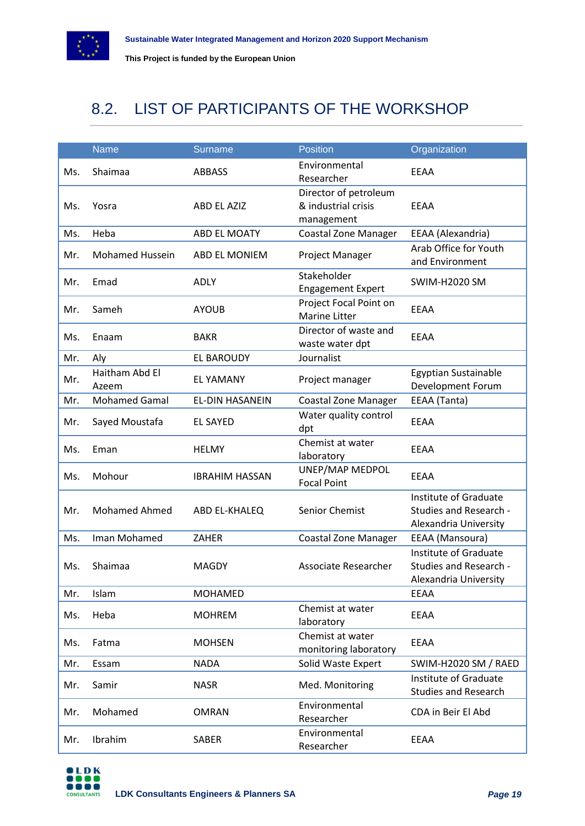

## <span id="page-18-0"></span>8.2. LIST OF PARTICIPANTS OF THE WORKSHOP

|     | Name                    | <b>Surname</b>        | <b>Position</b>                                            | Organization                                                                    |
|-----|-------------------------|-----------------------|------------------------------------------------------------|---------------------------------------------------------------------------------|
| Ms. | Shaimaa                 | ABBASS                | Environmental<br>Researcher                                | EEAA                                                                            |
| Ms. | Yosra                   | ABD EL AZIZ           | Director of petroleum<br>& industrial crisis<br>management | EEAA                                                                            |
| Ms. | Heba                    | ABD EL MOATY          | Coastal Zone Manager                                       | EEAA (Alexandria)                                                               |
| Mr. | <b>Mohamed Hussein</b>  | ABD EL MONIEM         | Project Manager                                            | Arab Office for Youth<br>and Environment                                        |
| Mr. | Emad                    | <b>ADLY</b>           | Stakeholder<br><b>Engagement Expert</b>                    | <b>SWIM-H2020 SM</b>                                                            |
| Mr. | Sameh                   | <b>AYOUB</b>          | Project Focal Point on<br>Marine Litter                    | EEAA                                                                            |
| Ms. | Enaam                   | <b>BAKR</b>           | Director of waste and<br>waste water dpt                   | <b>EEAA</b>                                                                     |
| Mr. | Aly                     | <b>EL BAROUDY</b>     | Journalist                                                 |                                                                                 |
| Mr. | Haitham Abd El<br>Azeem | <b>EL YAMANY</b>      | Project manager                                            | Egyptian Sustainable<br>Development Forum                                       |
| Mr. | <b>Mohamed Gamal</b>    | EL-DIN HASANEIN       | <b>Coastal Zone Manager</b>                                | EEAA (Tanta)                                                                    |
| Mr. | Sayed Moustafa          | <b>EL SAYED</b>       | Water quality control<br>dpt                               | <b>EEAA</b>                                                                     |
| Ms. | Eman                    | <b>HELMY</b>          | Chemist at water<br>laboratory                             | EEAA                                                                            |
| Ms. | Mohour                  | <b>IBRAHIM HASSAN</b> | UNEP/MAP MEDPOL<br><b>Focal Point</b>                      | EEAA                                                                            |
| Mr. | <b>Mohamed Ahmed</b>    | ABD EL-KHALEQ         | Senior Chemist                                             | Institute of Graduate<br><b>Studies and Research -</b><br>Alexandria University |
| Ms. | Iman Mohamed            | ZAHER                 | <b>Coastal Zone Manager</b>                                | EEAA (Mansoura)                                                                 |
| Ms. | Shaimaa                 | <b>MAGDY</b>          | Associate Researcher                                       | Institute of Graduate<br>Studies and Research -<br>Alexandria University        |
| Mr. | Islam                   | <b>MOHAMED</b>        |                                                            | EEAA                                                                            |
| Ms. | Heba                    | <b>MOHREM</b>         | Chemist at water<br>laboratory                             | EEAA                                                                            |
| Ms. | Fatma                   | <b>MOHSEN</b>         | Chemist at water<br>monitoring laboratory                  | EEAA                                                                            |
| Mr. | Essam                   | <b>NADA</b>           | Solid Waste Expert                                         | SWIM-H2020 SM / RAED                                                            |
| Mr. | Samir                   | <b>NASR</b>           | Med. Monitoring                                            | Institute of Graduate<br><b>Studies and Research</b>                            |
| Mr. | Mohamed                 | <b>OMRAN</b>          | Environmental<br>Researcher                                | CDA in Beir El Abd                                                              |
| Mr. | Ibrahim                 | SABER                 | Environmental<br>Researcher                                | EEAA                                                                            |